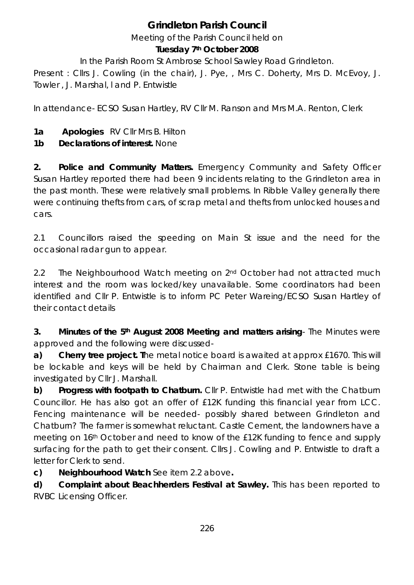# **Grindleton Parish Council**

Meeting of the Parish Council held on

#### **Tuesday 7th October 2008**

In the Parish Room St Ambrose School Sawley Road Grindleton.

Present : Cllrs J. Cowling (in the chair), J. Pye, , Mrs C. Doherty, Mrs D. McEvoy, J. Towler , J. Marshal, l and P. Entwistle

In attendance- ECSO Susan Hartley, RV Cllr M. Ranson and Mrs M.A. Renton, Clerk

**1a Apologies** RV Cllr Mrs B. Hilton

**1b Declarations of interest.** None

**2. Police and Community Matters.** Emergency Community and Safety Officer Susan Hartley reported there had been 9 incidents relating to the Grindleton area in the past month. These were relatively small problems. In Ribble Valley generally there were continuing thefts from cars, of scrap metal and thefts from unlocked houses and cars.

2.1 Councillors raised the speeding on Main St issue and the need for the occasional radar gun to appear.

2.2 The Neighbourhood Watch meeting on 2<sup>nd</sup> October had not attracted much interest and the room was locked/key unavailable. Some coordinators had been identified and Cllr P. Entwistle is to inform PC Peter Wareing/ECSO Susan Hartley of their contact details

**3. Minutes of the 5th August 2008 Meeting and matters arising**- The Minutes were approved and the following were discussed-

**a) Cherry tree project. T**he metal notice board is awaited at approx £1670. This will be lockable and keys will be held by Chairman and Clerk. Stone table is being investigated by Cllr J. Marshall.

**b) Progress with footpath to Chatburn.** Cllr P. Entwistle had met with the Chatburn Councillor. He has also got an offer of £12K funding this financial year from LCC. Fencing maintenance will be needed- possibly shared between Grindleton and Chatburn? The farmer is somewhat reluctant. Castle Cement, the landowners have a meeting on 16th October and need to know of the £12K funding to fence and supply surfacing for the path to get their consent. Cllrs J. Cowling and P. Entwistle to draft a letter for Clerk to send.

**c) Neighbourhood Watch** See item 2.2 above**.** 

**d) Complaint about Beachherders Festival at Sawley.** This has been reported to RVBC Licensing Officer.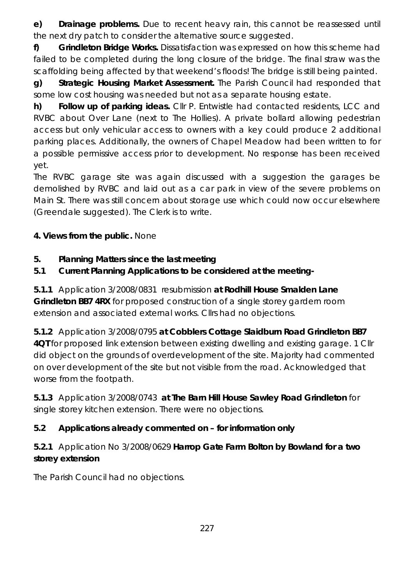**e) Drainage problems.** Due to recent heavy rain, this cannot be reassessed until the next dry patch to consider the alternative source suggested.

**f) Grindleton Bridge Works.** Dissatisfaction was expressed on how this scheme had failed to be completed during the long closure of the bridge. The final straw was the scaffolding being affected by that weekend's floods! The bridge is still being painted.

**g) Strategic Housing Market Assessment.** The Parish Council had responded that some low cost housing was needed but not as a separate housing estate.

**h) Follow up of parking ideas.** Cllr P. Entwistle had contacted residents, LCC and RVBC about Over Lane (next to The Hollies). A private bollard allowing pedestrian access but only vehicular access to owners with a key could produce 2 additional parking places. Additionally, the owners of Chapel Meadow had been written to for a possible permissive access prior to development. No response has been received yet.

The RVBC garage site was again discussed with a suggestion the garages be demolished by RVBC and laid out as a car park in view of the severe problems on Main St. There was still concern about storage use which could now occur elsewhere (Greendale suggested). The Clerk is to write.

**4. Views from the public.** None

# **5. Planning Matters since the last meeting**

**5.1 Current Planning Applications to be considered at the meeting-**

**5.1.1** Application 3/2008/0831resubmission **at Rodhill House Smalden Lane Grindleton BB7 4RX** for proposed construction of a single storey gardern room extension and associated external works. Cllrs had no objections.

**5.1.2** Application 3/2008/0795 **at Cobblers Cottage Slaidburn Road Grindleton BB7 4QT** for proposed link extension between existing dwelling and existing garage. 1 Cllr did object on the grounds of overdevelopment of the site. Majority had commented on over development of the site but not visible from the road. Acknowledged that worse from the footpath.

**5.1.3** Application 3/2008/0743 **at The Barn Hill House Sawley Road Grindleton** for single storey kitchen extension. There were no objections.

# **5.2 Applications already commented on – for information only**

**5.2.1** Application No 3/2008/0629 **Harrop Gate Farm Bolton by Bowland for a two storey extension** 

The Parish Council had no objections.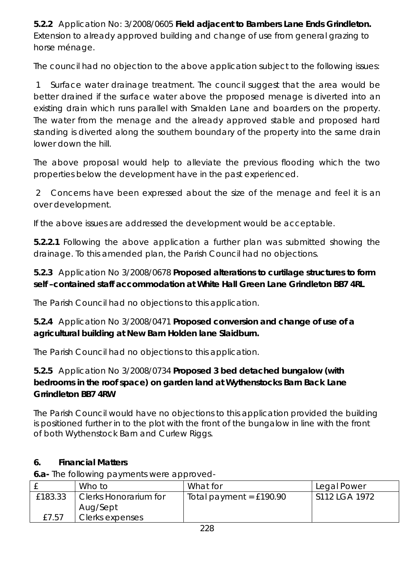**5.2.2** Application No: 3/2008/0605 **Field adjacent to Bambers Lane Ends Grindleton.**  Extension to already approved building and change of use from general grazing to horse ménage.

The council had no objection to the above application subject to the following issues:

 1 Surface water drainage treatment. The council suggest that the area would be better drained if the surface water above the proposed menage is diverted into an existing drain which runs parallel with Smalden Lane and boarders on the property. The water from the menage and the already approved stable and proposed hard standing is diverted along the southern boundary of the property into the same drain lower down the hill.

The above proposal would help to alleviate the previous flooding which the two properties below the development have in the past experienced.

 2 Concerns have been expressed about the size of the menage and feel it is an over development.

If the above issues are addressed the development would be acceptable.

**5.2.2.1** Following the above application a further plan was submitted showing the drainage. To this amended plan, the Parish Council had no objections.

# **5.2.3** Application No 3/2008/0678 **Proposed alterations to curtilage structures to form self –contained staff accommodation at White Hall Green Lane Grindleton BB7 4RL**

The Parish Council had no objections to this application.

# **5.2.4** Application No 3/2008/0471 **Proposed conversion and change of use of a agricultural building at New Barn Holden lane Slaidburn.**

The Parish Council had no objections to this application.

# **5.2.5** Application No 3/2008/0734 **Proposed 3 bed detached bungalow (with bedrooms in the roof space) on garden land at Wythenstocks Barn Back Lane Grrindleton BB7 4RW**

The Parish Council would have no objections to this application provided the building is positioned further in to the plot with the front of the bungalow in line with the front of both Wythenstock Barn and Curlew Riggs.

# **6. Financial Matters**

**6.a-** The following payments were approved-

|         | Who to                | What for                  | Legal Power   |
|---------|-----------------------|---------------------------|---------------|
| £183.33 | Clerks Honorarium for | Total payment = $£190.90$ | S112 LGA 1972 |
|         | Aug/Sept              |                           |               |
| £7.57   | Clerks expenses       |                           |               |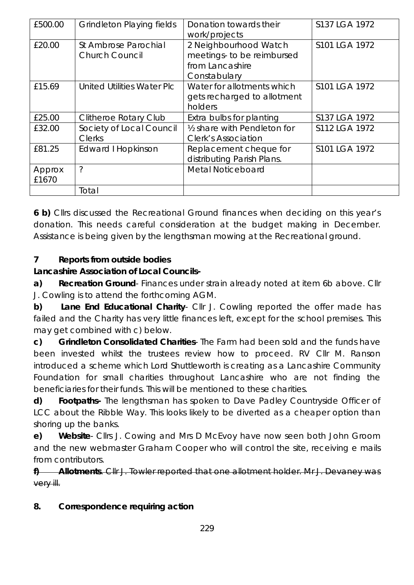| £500.00         | <b>Grindleton Playing fields</b>              | Donation towards their<br>work/projects                                                | S137 LGA 1972 |
|-----------------|-----------------------------------------------|----------------------------------------------------------------------------------------|---------------|
| £20.00          | St Ambrose Parochial<br><b>Church Council</b> | 2 Neighbourhood Watch<br>meetings- to be reimbursed<br>from Lancashire<br>Constabulary | S101 LGA 1972 |
| £15.69          | <b>United Utilities Water Plc</b>             | Water for allotments which<br>gets recharged to allotment<br>holders                   | S101 LGA 1972 |
| £25.00          | <b>Clitheroe Rotary Club</b>                  | Extra bulbs for planting                                                               | S137 LGA 1972 |
| £32.00          | Society of Local Council<br><b>Clerks</b>     | 1/2 share with Pendleton for<br><b>Clerk's Association</b>                             | S112 LGA 1972 |
| £81.25          | Edward I Hopkinson                            | Replacement cheque for<br>distributing Parish Plans.                                   | S101 LGA 1972 |
| Approx<br>£1670 | ?                                             | Metal Noticeboard                                                                      |               |
|                 | Total                                         |                                                                                        |               |

**6 b)** Cllrs discussed the Recreational Ground finances when deciding on this year's donation. This needs careful consideration at the budget making in December. Assistance is being given by the lengthsman mowing at the Recreational ground.

#### **7 Reports from outside bodies**

#### **Lancashire Association of Local Councils-**

**a) Recreation Ground**- Finances under strain already noted at item 6b above. Cllr J. Cowling is to attend the forthcoming AGM.

**b) Lane End Educational Charity**- Cllr J. Cowling reported the offer made has failed and the Charity has very little finances left, except for the school premises. This may get combined with c) below.

**c) Grindleton Consolidated Charities**- The Farm had been sold and the funds have been invested whilst the trustees review how to proceed. RV Cllr M. Ranson introduced a scheme which Lord Shuttleworth is creating as a Lancashire Community Foundation for small charities throughout Lancashire who are not finding the beneficiaries for their funds. This will be mentioned to these charities.

**d) Footpaths-** The lengthsman has spoken to Dave Padley Countryside Officer of LCC about the Ribble Way. This looks likely to be diverted as a cheaper option than shoring up the banks.

**e) Website**- Cllrs J. Cowing and Mrs D McEvoy have now seen both John Groom and the new webmaster Graham Cooper who will control the site, receiving e mails from contributors.

**f) Allotments**. Cllr J. Towler reported that one allotment holder. Mr J. Devaney was very ill.

#### **8. Correspondence requiring action**